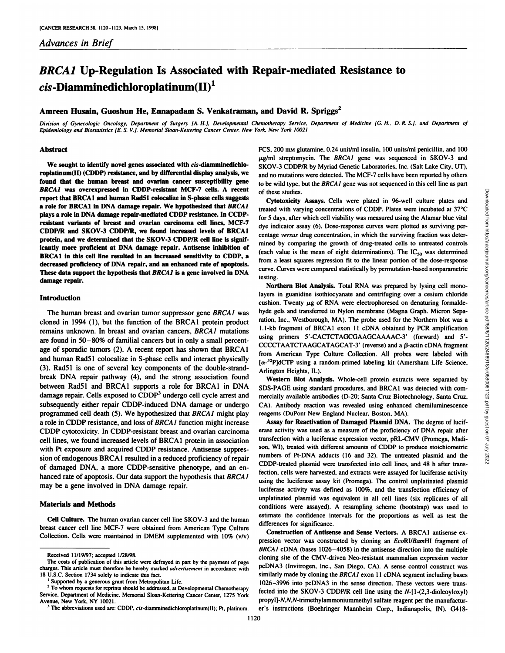# *BRCA1 Up-Regulation Is Associated with Repair-mediated Resistance to* **m-Diamminedichloroplatinum(II)1**

# **Amreen Husain, Cuoshun He,Ennapadam S. Venkatraman, and David R. Spriggs2**

Division of Gynecologic Oncology, Department of Surgery [A. H.], Developmental Chemotherapy Service, Department of Medicine [G. H., D. R. S.], and Department of *Epiiiemiolog\ ami Biostatistics IE. S. V.l. Memorial Sloan-Kellering Cancer Center. New York. New York 10021*

#### **Abstract**

We sought to identify novel genes associated with *cis*-diamminedichlo**roplatinum(II) (CDDP) resistance, and by differential display analysis, we found that the human breast and ovarian cancer susceptibility gene** *BRCA1 was overexpressed in CDDP-resistant MCF-7 cells. A recent* **report that BRCA1 and human RadSl colocalize in S-phase cells suggests a role for BRCA1 in DNA damage repair. We hypothesized that BRCA1 plays a role in DNA damage repair-mediated CDDP resistance. In ( ( 1)1" resistant variants of breast and ovarian carcinoma cell lines, MCF-7 CDDP/R and SKOV-3 CDDP/R, we found increased levels of BRCA1 protein, and we determined that the SKOV-3 CDDP/R cell line is signif icantly more proficient at DNA damage repair. Antisense inhibition of BRCA1 in this cell line resulted in an increased sensitivity to CDDP, a decreased proficiency of DNA repair,and an enhanced rate of apoptosis. These data support the hypothesis that BKCA1 is a gene involved in DNA damage repair.**

## **Introduction**

The human breast and ovarian tumor suppressor gene BRCA1 was cloned in 1994 (1), but the function of the BRCA1 protein product remains unknown. In breast and ovarian cancers. BRCAI mutations are found in 50-80% of familial cancers but in only a small percent age of sporadic tumors (2). A recent report has shown that BRCAI and human RadSl colocalize in S-phase cells and interact physically (3). RadSl is one of several key components of the double-strandbreak DNA repair pathway (4), and the strong association found between RadSl and BRCAI supports a role for BRCAI in DNA damage repair. Cells exposed to CDDP<sup>3</sup> undergo cell cycle arrest and subsequently either repair CDDP-induced DNA damage or undergo programmed cell death (5). We hypothesized that BRCA1 might play a role in CDDP resistance, and loss of BRCAI function might increase CDDP cytotoxicity. In CDDP-resistant breast and ovarian carcinoma cell lines, we found increased levels of BRCAI protein in association with Pt exposure and acquired CDDP resistance. Antisense suppres sion of endogenous BRCAI resulted in a reduced proficiency of repair of damaged DNA, a more CDDP-sensitive phenotype, and an en hanced rate of apoptosis. Our data support the hypothesis that BRCAI may be a gene involved in DNA damage repair.

#### **Materials and Methods**

**Cell Culture. The human ovarian cancer cell line SKOV-3 and (he human** breast cancer cell line MCF-7 were obtained from American Type Culture Collection. Cells were maintained in DMEM supplemented with 10% (v/v) FCS, 200 mm glutamine, 0.24 unit/ml insulin, 100 units/ml penicillin, and 100  $\mu$ g/ml streptomycin. The BRCAI gene was sequenced in SKOV-3 and SKOV-3 CDDP/R by Myriad Genetic Laboratories, Inc. (Salt Lake City, UT), and no mutations were detected. The MCF-7 cells have been reported by others to be wild type, but the BRCAI gene was not sequenced in this cell line as part of these studies.

treated with varying concentrations of CDDP. Plates were incubated at 37°C for 5 days, after which cell viability was measured using the Alamar blue vital dye indicator assay (6). Dose-response curves were plotted as surviving per centage versus drug concentration, in which the surviving fraction was determined by comparing the growth of drug-treated cells to untreated controls (each value is the mean of eight determinations). The  $IC_{50}$  was determined from a least squares regression fit to the linear portion of the dose-response curve. Curves were compared statistically by permutation-based nonparametric testing.

Cytotoxicity<br>
Cytotoxicity<br>
Cytotoxicity<br>
Cytotoxicity<br>
Cytotoxicity<br>
act dwith varying concentrations of CDDP. Plates were incubated at 37°C<br>
is dues, after which cell viability was measured using the Alamar blue via<br>
is **Northern Blot Analysis. Total RNA was prepared by lysing cell mono**layers in guanidine isothiocyanate and centrituging over a cesium chloride cushion. Twenty  $\mu$ g of RNA were electrophoresed on denaturing formaldehyde gels and transferred to Nylon membrane (Magna Graph. Micron Sepa ration, Inc.. Westborough. MA). The probe used for the Northern blot was a 1.1-kb fragment of BRCA1 exon 11 cDNA obtained by PCR amplification using primers 5'-CACTCTAGCGAAGCAAAAC-3' (forward) and 5'- CCCCTAATCTAAGCATAGCAT-3' (reverse) and a  $\beta$ -actin cDNA fragment from American Type Culture Collection. All probes were labeled with  $[\alpha^{-32}P]$ dCTP using a random-primed labeling kit (Amersham Life Science, Arlington Heights. IL).

**Western Blot Analysis. Whole-cell protein extracts were separated by** SDS-PAGE using standard procedures, and BRCAI was detected with com mercially available antibodies (D-20; Santa Cruz Biotechnology. Santa Cruz, CA). Antibody reaction was revealed using enhanced chemiluminescence reagents (DuPont New England Nuclear. Boston. MA).

Assay for Reactivation of Damaged Plasmid DNA. The degree of lucif erase activity was used as a measure of the proficiency of DNA repair after transfection with a luciferase expression vector, pRL-CMV (Promega, Madison. WI). treated with different amounts of CDDP to produce stoichiometric numbers of Pt-DNA adducts (16 and 32). The untreated plasmid and the CDDP-treated plasmid were transfected into cell lines, and 48 h after transfection, cells were harvested, and extracts were assayed for luciferase activity using the luciferase assay kit (Promega). The control unplatinated plasmid luciferase activity was defined as 100%, and the transfection efficiency of unplatinated plasmid was equivalent in all cell lines (six replicates of all conditions were assayed). A resampling scheme (bootstrap) was used to estimate the confidence intervals for the proportions as well as test the differences for significance.

**Construction of Antisense and Sense Vectors. A BRCAI antisense ex** pression vector was constructed by cloning an EcoRI/BamHI fragment of *BKCAI cDNA (bases 1026-4058) in the antisense direction into the multiple* cloning site of the CMV-driven Neo-resistant mammalian expression vector pcDNA3 (Invitrogen. Inc.. San Diego. CA). A sense control construct was similarly made by cloning the  $BRCAI$  exon 11 cDNA segment including bases 1026-3996 into pcDNA3 in the sense direction. These vectors were trans fected into the SKOV-3 CDDP/R cell line using the  $N-[1-(2,3-dioleoyloxyl)]$ propyl]-N,N,N-trimethylammoniummethyl sulfate reagent per the manufacturer's instructions (Boehringer Mannheim Corp., Indianapolis, IN). G418-

Received 11/19/97; accepted 1/28/98.

The costs of publication of this article were defrayed in part by the payment of page charges. This article must therefore be hereby marked advertisement in accordance with 18 U.S.C. Section 1734 solely to indicate this fact.<br><sup>1</sup> Supported by a generous grant from Metropolitan Life.

<sup>&</sup>lt;sup>2</sup> To whom requests for reprints should be addressed, at Developmental Chemotherapy Service. Department of Medicine. Memorial Sloan-Keltering Cancer Center. 1275 York Avenue. New York. NY 10021. '

 $3$  The abbreviations used are: CDDP, cis-diamminedichloroplatinum(II); Pt. platinum.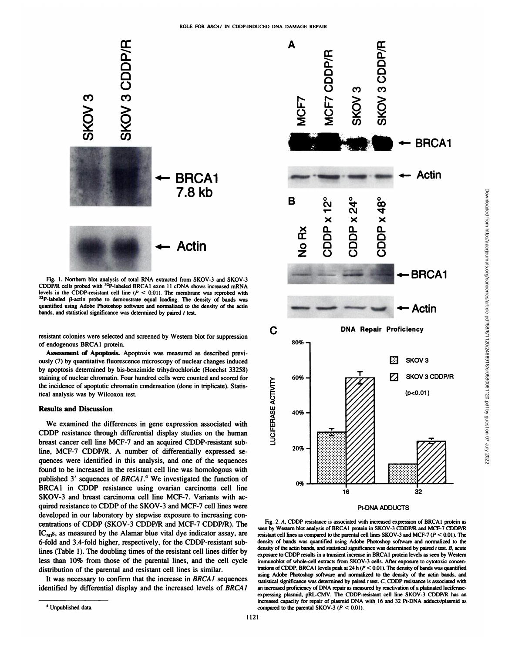

Fig. 1. Northern blot analysis of total RNA extracted from SKOV-3 and SKOV-3 CDDP/R cells probed with <sup>32</sup>P-labeled BRCA1 exon 11 cDNA shows increased mRNA levels in the CDDP-resistant cell line  $(P < 0.01)$ . The membrane was reprobed with <sup>32</sup>P-labeled *ß*-actin probe to demonstrate equal loading. The density of bands was quantified using Adobe Photoshop software and normalized to the density of the actin bands, and statistical significance was determined by paired  $t$  test.

resistant colonies were selected and screened by Western blot for suppression of endogenous BRCA1 protein.

**Assessment of Apoptosis. Apoptosis was measured as described previ** ously (7) by quantitative fluorescence microscopy of nuclear changes induced by apoptosis determined by bis-benzimide trihydrochloride (Hoechst 33258) staining of nuclear chromatin. Four hundred cells were counted and scored for the incidence of apoptotic chromatin condensation (done in triplicate). Statis tical analysis was by Wilcoxon test.

## **Results and Discussion**

uning of nuclear chromain. Four nundred cells were counted and scored for<br>e incidence of apoptotic chromatin condensation (done in triplicate). Statis-<br>al analysis was by Wilcoxon test.<br>**Esults and Discussion**<br>We examined CDDP resistance through differential display studies on the human breast cancer cell line MCF-7 and an acquired CDDP-resistant subline, MCF-7 CDDP/R. A number of differentially expressed se quences were identified in this analysis, and one of the sequences found to be increased in the resistant cell line was homologous with published 3' sequences of BRCA1.<sup>4</sup> We investigated the function of BRCAI in CDDP resistance using ovarian carcinoma cell line SKOV-3 and breast carcinoma cell line MCF-7. Variants with ac quired resistance to CDDP of the SKOV-3 and MCF-7 cell lines were developed in our laboratory by stepwise exposure to increasing con centrations of CDDP (SKOV-3 CDDP/R and MCF-7 CDDP/R). The  $IC_{50}$ , as measured by the Alamar blue vital dye indicator assay, are 6-fold and 3.4-fold higher, respectively, for the CDDP-resistant sublines (Table 1). The doubling times of the resistant cell lines differ by less than 10% from those of the parental lines, and the cell cycle distribution of the parental and resistant cell lines is similar.

It was necessary to confirm that the increase in BRCAI sequences identified by differential display and the increased levels of BRCAI



Pt-DNA ADDUCTS

Fig. 2. A. CDDP resistance is associated with increased expression of BRCAI protein as seen by Western blot analysis of BRCAI protein in SKOV-3 CDDP/R and MCF-7 CDDP/R resistant cell lines as compared to the parental cell lines SKOV-3 and MCF-7 (P < 0.01 ). The density of bands was quantified using Adobe Photoshop software and normalized to the density of the actin bands, and statistical significance was determined by paired  $t$  test.  $B$ , acute exposure to CDDP results in a transient increase in BRCA 1 protein levels as seen by Western immunoblot of whole-cell extracts from SKOV-3 cells. After exposure to cytotoxic concen trations of CDDP, BRCA1 levels peak at 24 h  $(P < 0.01)$ . The density of bands was quantified using Adobe Photoshop software and normalized to the density of the actin bands, and statistical significance was determined by paired  $t$  test.  $C$ , CDDP resistance is associated with an increased proficiency of DNA repair as measured by reactivation of a platinated luciferaseexpressing plasmid, pRL-CMV. The CDDP-resistant cell line SKOV-3 CDDP/R has an increased capacity for repair of plasmid DNA with 16 and 32 Pt-DNA adducts/plasmid as compared to the parental SKOV-3 ( $P < 0.01$ ).

<sup>4</sup> Unpublished data.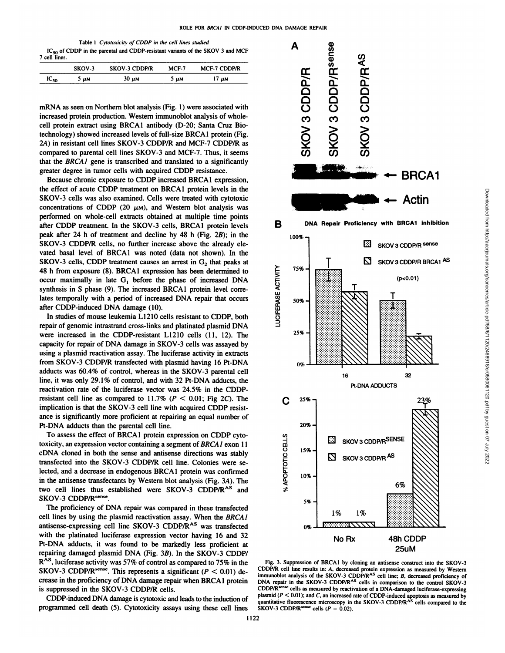| Table 1 Cytotoxicity of CDDP in the cell lines studied                              |  |
|-------------------------------------------------------------------------------------|--|
| $IC_{50}$ of CDDP in the parental and CDDP-resistant variants of the SKOV 3 and MCF |  |
| 7 cell lines.                                                                       |  |

|           | SKOV-3 | <b>SKOV-3 CDDP/R</b> | $MCF-7$ | <b>MCF-7 CDDP/R</b> |
|-----------|--------|----------------------|---------|---------------------|
| $IC_{50}$ | 5 им   | $30 \mu$ M           | μм      | щM                  |

mRNA as seen on Northern blot analysis (Fig. 1) were associated with increased protein production. Western immunoblot analysis of wholecell protein extract using BRCA1 antibody (D-20; Santa Cruz Bio technology) showed increased levels of full-size BRCA1 protein (Fig. 2A) in resistant cell lines SKOV-3 CDDP/R and MCF-7 CDDP/R as compared to parental cell lines SKOV-3 and MCF-7. Thus, it seems that the BKCAI gene is transcribed and translated to a significantly greater degree in tumor cells with acquired CDDP resistance.

Because chronic exposure to CDDP increased BRCA1 expression, the effect of acute CDDP treatment on BRCA1 protein levels in the SKOV-3 cells was also examined. Cells were treated with cytotoxic concentrations of CDDP (20  $\mu$ M), and Western blot analysis was performed on whole-cell extracts obtained at multiple time points after CDDP treatment. In the SKOV-3 cells. BRCA1 protein levels peak after 24 h of treatment and decline by 48 h (Fig.  $2B$ ); in the SKOV-3 CDDP/R cells, no further increase above the already ele vated basal level of BRCA1 was noted (data not shown). In the SKOV-3 cells, CDDP treatment causes an arrest in  $G_2$  that peaks at 48 h from exposure (8). BRCA1 expression has been determined to<br>occur maximally in late  $G_1$  before the phase of increased DNA<br>synthesis in S phase (9). The increased BRCA1 protein level corre-<br>lates temporally with a pe occur maximally in late  $G_1$  before the phase of increased DNA synthesis in S phase (9). The increased BRCA1 protein level corre lates temporally with a period of increased DNA repair that occurs after CDDP-induced DNA damage (10).

In studies of mouse leukemia L1210 cells resistant to CDDP, both repair of genomic intrastrand cross-links and platinated plasmid DNA were increased in the CDDP-resistant L1210 cells (11, 12). The capacity for repair of DNA damage in SKOV-3 cells was assayed by using a plasmid reactivation assay. The luciferase activity in extracts from SKOV-3 CDDP/R transfected with plasmid having 16 Pt-DNA adducts was 60.4% of control, whereas in the SKOV-3 parental cell line, it was only 29.1% of control, and with 32 Pt-DNA adducts, the reactivation rate of the luciferase vector was 24.5% in the CDDPresistant cell line as compared to  $11.7\%$  ( $P < 0.01$ ; Fig 2C). The implication is that the SKOV-3 cell line with acquired CDDP resist ance is significantly more proficient at repairing an equal number of Pt-DNA adducts than the parental cell line.

To assess the effect of BRCA1 protein expression on CDDP cytotoxicity, an expression vector containing a segment of BRCAI exon 11 cDNA cloned in both the sense and antisense directions was stably transfected into the SKOV-3 CDDP/R cell line. Colonies were se lected, and a decrease in endogenous BRCA1 protein was confirmed in the antisense transfectants by Western blot analysis (Fig. 3A). The two cell lines thus established were SKOV-3 CDDP/R<sup>AS</sup> and SKOV-3 CDDP/Rsense

The proficiency of DNA repair was compared in these transfected cell lines by using the plasmid reactivation assay. When the BRCA1 antisense-expressing cell line SKOV-3 CDDP/R<sup>AS</sup> was transfected with the platinated luciferase expression vector having 16 and 32 Pt-DNA adducts, it was found to be markedly less proficient at repairing damaged plasmid DNA (Fig. 3B). In the SKOV-3 CDDP/ R<sup>AS</sup>, luciferase activity was 57% of control as compared to 75% in the SKOV-3 CDDP/R<sup>sense</sup>. This represents a significant ( $P < 0.01$ ) decrease in the proficiency of DNA damage repair when BRCA 1 protein is suppressed in the SKOV-3 CDDP/R cells.

CDDP-induced DNA damage is cytotoxic and leads to the induction of programmed cell death (5). Cytotoxicity assays using these cell lines



Fig. 3. Suppression of BRCA1 by cloning an antisense construct into the SKOV-3 CDDP/R cell line results in: A. decreased protein expression as measured by Western immunoblot analysis of the SKOV-3 CDDP/R<sup>AS</sup> cell line; B. decreased proficiency of DNA repair in the SKOV-3 CDDP/R<sup>AS</sup> cells in comparison to the control SKOV-3 CDDP/R<sup>iense</sup> cells as measured by reactivation of a DNA-damaged luciferase-expressing plasmid (P < 0.01); and C, an increased rate of CDDP-induced apoptosis as measured by<br>quantitative fluorescence microscopy in the SKOV-3 CDDP/R<sup>AS</sup> cells compared to the<br>SKOV-3 CDDP/R<sup>+en+e</sup> cells (P = 0.02).